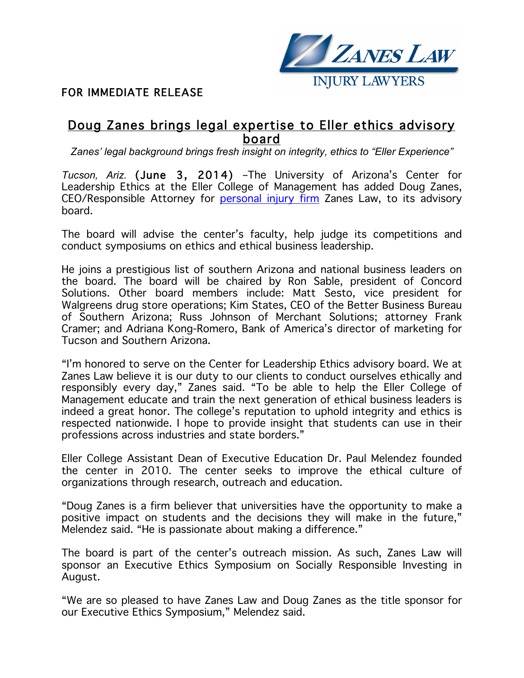

# FOR IMMEDIATE RELEASE

# Doug Zanes brings legal expertise to Eller ethics advisory board

*Zanes' legal background brings fresh insight on integrity, ethics to "Eller Experience"*

*Tucson, Ariz.* (June 3, 2014) –The University of Arizona's Center for Leadership Ethics at the Eller College of Management has added Doug Zanes, CEO/Responsible Attorney for personal injury firm Zanes Law, to its advisory board.

The board will advise the center's faculty, help judge its competitions and conduct symposiums on ethics and ethical business leadership.

He joins a prestigious list of southern Arizona and national business leaders on the board. The board will be chaired by Ron Sable, president of Concord Solutions. Other board members include: Matt Sesto, vice president for Walgreens drug store operations; Kim States, CEO of the Better Business Bureau of Southern Arizona; Russ Johnson of Merchant Solutions; attorney Frank Cramer; and Adriana Kong-Romero, Bank of America's director of marketing for Tucson and Southern Arizona.

"I'm honored to serve on the Center for Leadership Ethics advisory board. We at Zanes Law believe it is our duty to our clients to conduct ourselves ethically and responsibly every day," Zanes said. "To be able to help the Eller College of Management educate and train the next generation of ethical business leaders is indeed a great honor. The college's reputation to uphold integrity and ethics is respected nationwide. I hope to provide insight that students can use in their professions across industries and state borders."

Eller College Assistant Dean of Executive Education Dr. Paul Melendez founded the center in 2010. The center seeks to improve the ethical culture of organizations through research, outreach and education.

"Doug Zanes is a firm believer that universities have the opportunity to make a positive impact on students and the decisions they will make in the future," Melendez said. "He is passionate about making a difference."

The board is part of the center's outreach mission. As such, Zanes Law will sponsor an Executive Ethics Symposium on Socially Responsible Investing in August.

"We are so pleased to have Zanes Law and Doug Zanes as the title sponsor for our Executive Ethics Symposium," Melendez said.